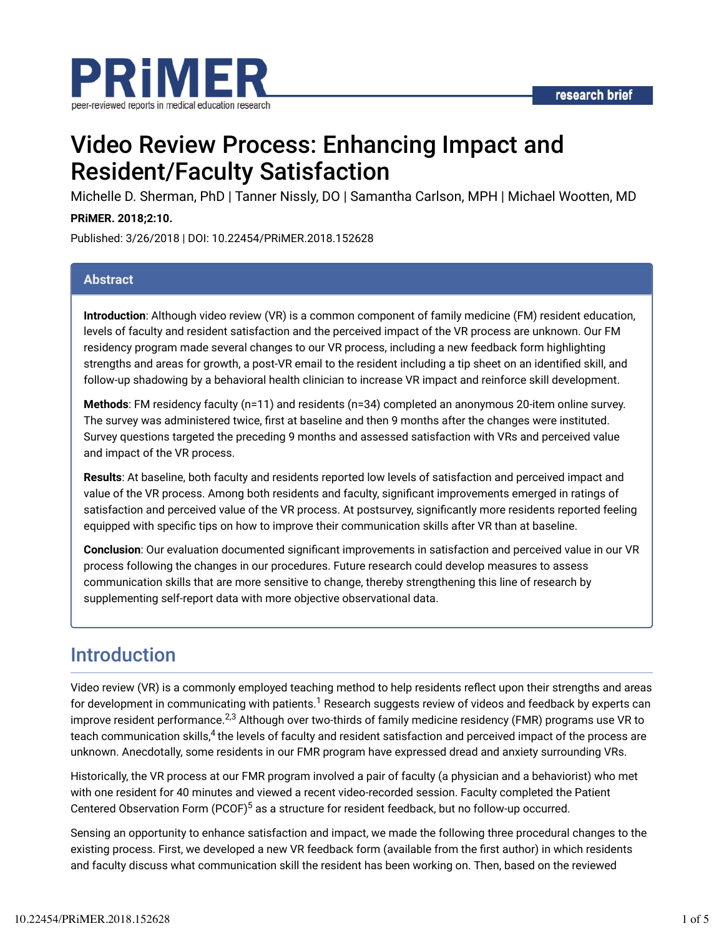

# Video Review Process: Enhancing Impact and Resident/Faculty Satisfaction

Michelle D. Sherman, PhD | Tanner Nissly, DO | Samantha Carlson, MPH | Michael Wootten, MD

#### **PRiMER. 2018;2:10.**

Published: 3/26/2018 | DOI: 10.22454/PRiMER.2018.152628

#### **Abstract**

**Introduction**: Although video review (VR) is a common component of family medicine (FM) resident education, levels of faculty and resident satisfaction and the perceived impact of the VR process are unknown. Our FM residency program made several changes to our VR process, including a new feedback form highlighting strengths and areas for growth, a post-VR email to the resident including a tip sheet on an identified skill, and follow-up shadowing by a behavioral health clinician to increase VR impact and reinforce skill development.

**Methods**: FM residency faculty (n=11) and residents (n=34) completed an anonymous 20-item online survey. The survey was administered twice, first at baseline and then 9 months after the changes were instituted. Survey questions targeted the preceding 9 months and assessed satisfaction with VRs and perceived value and impact of the VR process.

**Results**: At baseline, both faculty and residents reported low levels of satisfaction and perceived impact and value of the VR process. Among both residents and faculty, significant improvements emerged in ratings of satisfaction and perceived value of the VR process. At postsurvey, significantly more residents reported feeling equipped with specific tips on how to improve their communication skills after VR than at baseline.

**Conclusion**: Our evaluation documented significant improvements in satisfaction and perceived value in our VR process following the changes in our procedures. Future research could develop measures to assess communication skills that are more sensitive to change, thereby strengthening this line of research by supplementing self-report data with more objective observational data.

## Introduction

Video review (VR) is a commonly employed teaching method to help residents reflect upon their strengths and areas for development in communicating with patients. $^1$  Research suggests review of videos and feedback by experts can improve resident performance. $^{2,3}$  Although over two-thirds of family medicine residency (FMR) programs use VR to teach communication skills,<sup>4</sup> the levels of faculty and resident satisfaction and perceived impact of the process are unknown. Anecdotally, some residents in our FMR program have expressed dread and anxiety surrounding VRs.

Historically, the VR process at our FMR program involved a pair of faculty (a physician and a behaviorist) who met with one resident for 40 minutes and viewed a recent video-recorded session. Faculty completed the Patient Centered Observation Form (PCOF)<sup>5</sup> as a structure for resident feedback, but no follow-up occurred.

Sensing an opportunity to enhance satisfaction and impact, we made the following three procedural changes to the existing process. First, we developed a new VR feedback form (available from the first author) in which residents and faculty discuss what communication skill the resident has been working on. Then, based on the reviewed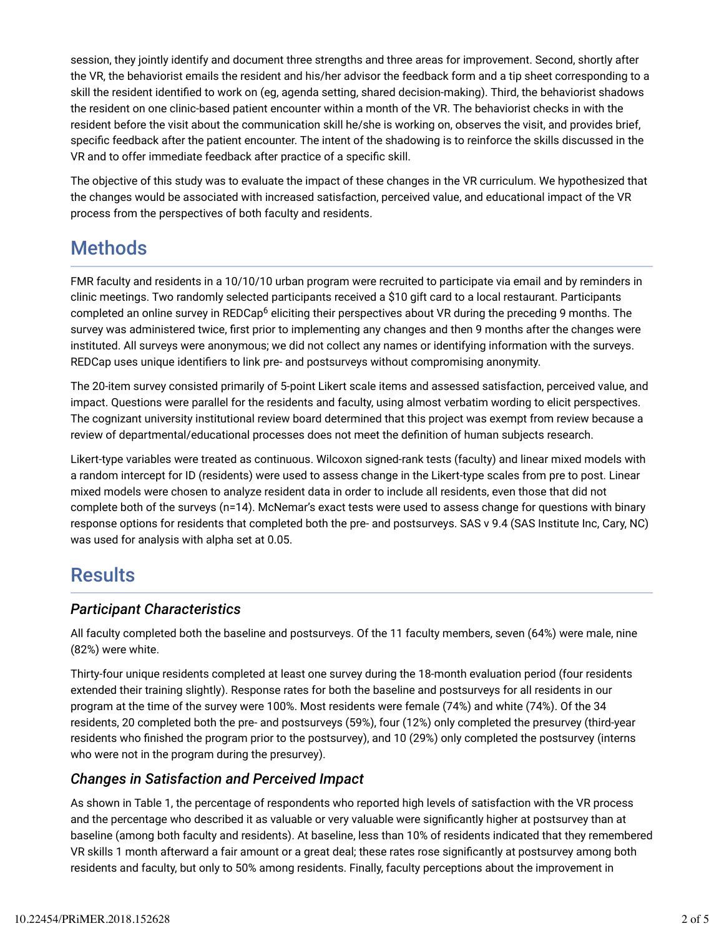session, they jointly identify and document three strengths and three areas for improvement. Second, shortly after the VR, the behaviorist emails the resident and his/her advisor the feedback form and a tip sheet corresponding to a skill the resident identified to work on (eg, agenda setting, shared decision-making). Third, the behaviorist shadows the resident on one clinic-based patient encounter within a month of the VR. The behaviorist checks in with the resident before the visit about the communication skill he/she is working on, observes the visit, and provides brief, specific feedback after the patient encounter. The intent of the shadowing is to reinforce the skills discussed in the VR and to offer immediate feedback after practice of a specific skill.

The objective of this study was to evaluate the impact of these changes in the VR curriculum. We hypothesized that the changes would be associated with increased satisfaction, perceived value, and educational impact of the VR process from the perspectives of both faculty and residents.

## **Methods**

FMR faculty and residents in a 10/10/10 urban program were recruited to participate via email and by reminders in clinic meetings. Two randomly selected participants received a \$10 gift card to a local restaurant. Participants completed an online survey in REDCap<sup>6</sup> eliciting their perspectives about VR during the preceding 9 months. The survey was administered twice, first prior to implementing any changes and then 9 months after the changes were instituted. All surveys were anonymous; we did not collect any names or identifying information with the surveys. REDCap uses unique identifiers to link pre- and postsurveys without compromising anonymity.

The 20-item survey consisted primarily of 5-point Likert scale items and assessed satisfaction, perceived value, and impact. Questions were parallel for the residents and faculty, using almost verbatim wording to elicit perspectives. The cognizant university institutional review board determined that this project was exempt from review because a review of departmental/educational processes does not meet the definition of human subjects research.

Likert-type variables were treated as continuous. Wilcoxon signed-rank tests (faculty) and linear mixed models with a random intercept for ID (residents) were used to assess change in the Likert-type scales from pre to post. Linear mixed models were chosen to analyze resident data in order to include all residents, even those that did not complete both of the surveys (n=14). McNemar's exact tests were used to assess change for questions with binary response options for residents that completed both the pre- and postsurveys. SAS v 9.4 (SAS Institute Inc, Cary, NC) was used for analysis with alpha set at 0.05.

## **Results**

### *Participant Characteristics*

All faculty completed both the baseline and postsurveys. Of the 11 faculty members, seven (64%) were male, nine (82%) were white.

Thirty-four unique residents completed at least one survey during the 18-month evaluation period (four residents extended their training slightly). Response rates for both the baseline and postsurveys for all residents in our program at the time of the survey were 100%. Most residents were female (74%) and white (74%). Of the 34 residents, 20 completed both the pre- and postsurveys (59%), four (12%) only completed the presurvey (third-year residents who finished the program prior to the postsurvey), and 10 (29%) only completed the postsurvey (interns who were not in the program during the presurvey).

### *Changes in Satisfaction and Perceived Impact*

As shown in Table 1, the percentage of respondents who reported high levels of satisfaction with the VR process and the percentage who described it as valuable or very valuable were significantly higher at postsurvey than at baseline (among both faculty and residents). At baseline, less than 10% of residents indicated that they remembered VR skills 1 month afterward a fair amount or a great deal; these rates rose significantly at postsurvey among both residents and faculty, but only to 50% among residents. Finally, faculty perceptions about the improvement in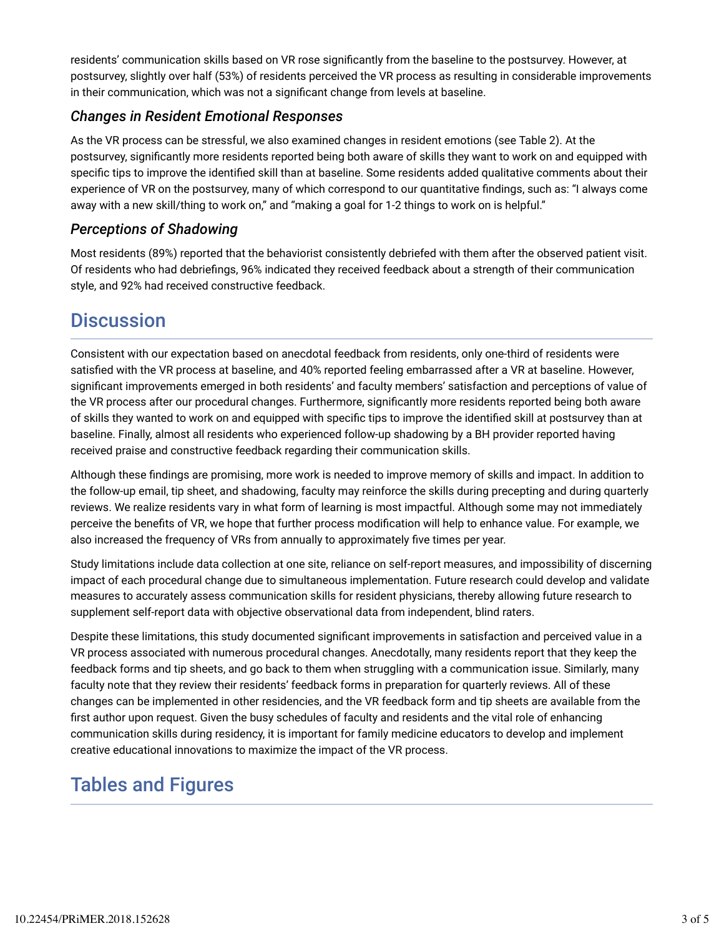residents' communication skills based on VR rose significantly from the baseline to the postsurvey. However, at postsurvey, slightly over half (53%) of residents perceived the VR process as resulting in considerable improvements in their communication, which was not a significant change from levels at baseline.

### *Changes in Resident Emotional Responses*

As the VR process can be stressful, we also examined changes in resident emotions (see Table 2). At the postsurvey, significantly more residents reported being both aware of skills they want to work on and equipped with specific tips to improve the identified skill than at baseline. Some residents added qualitative comments about their experience of VR on the postsurvey, many of which correspond to our quantitative findings, such as: "I always come away with a new skill/thing to work on," and "making a goal for 1-2 things to work on is helpful."

### *Perceptions of Shadowing*

Most residents (89%) reported that the behaviorist consistently debriefed with them after the observed patient visit. Of residents who had debriefings, 96% indicated they received feedback about a strength of their communication style, and 92% had received constructive feedback.

## **Discussion**

Consistent with our expectation based on anecdotal feedback from residents, only one-third of residents were satisfied with the VR process at baseline, and 40% reported feeling embarrassed after a VR at baseline. However, significant improvements emerged in both residents' and faculty members' satisfaction and perceptions of value of the VR process after our procedural changes. Furthermore, significantly more residents reported being both aware of skills they wanted to work on and equipped with specific tips to improve the identified skill at postsurvey than at baseline. Finally, almost all residents who experienced follow-up shadowing by a BH provider reported having received praise and constructive feedback regarding their communication skills.

Although these findings are promising, more work is needed to improve memory of skills and impact. In addition to the follow-up email, tip sheet, and shadowing, faculty may reinforce the skills during precepting and during quarterly reviews. We realize residents vary in what form of learning is most impactful. Although some may not immediately perceive the benefits of VR, we hope that further process modification will help to enhance value. For example, we also increased the frequency of VRs from annually to approximately five times per year.

Study limitations include data collection at one site, reliance on self-report measures, and impossibility of discerning impact of each procedural change due to simultaneous implementation. Future research could develop and validate measures to accurately assess communication skills for resident physicians, thereby allowing future research to supplement self-report data with objective observational data from independent, blind raters.

Despite these limitations, this study documented significant improvements in satisfaction and perceived value in a VR process associated with numerous procedural changes. Anecdotally, many residents report that they keep the feedback forms and tip sheets, and go back to them when struggling with a communication issue. Similarly, many faculty note that they review their residents' feedback forms in preparation for quarterly reviews. All of these changes can be implemented in other residencies, and the VR feedback form and tip sheets are available from the first author upon request. Given the busy schedules of faculty and residents and the vital role of enhancing communication skills during residency, it is important for family medicine educators to develop and implement creative educational innovations to maximize the impact of the VR process.

## Tables and Figures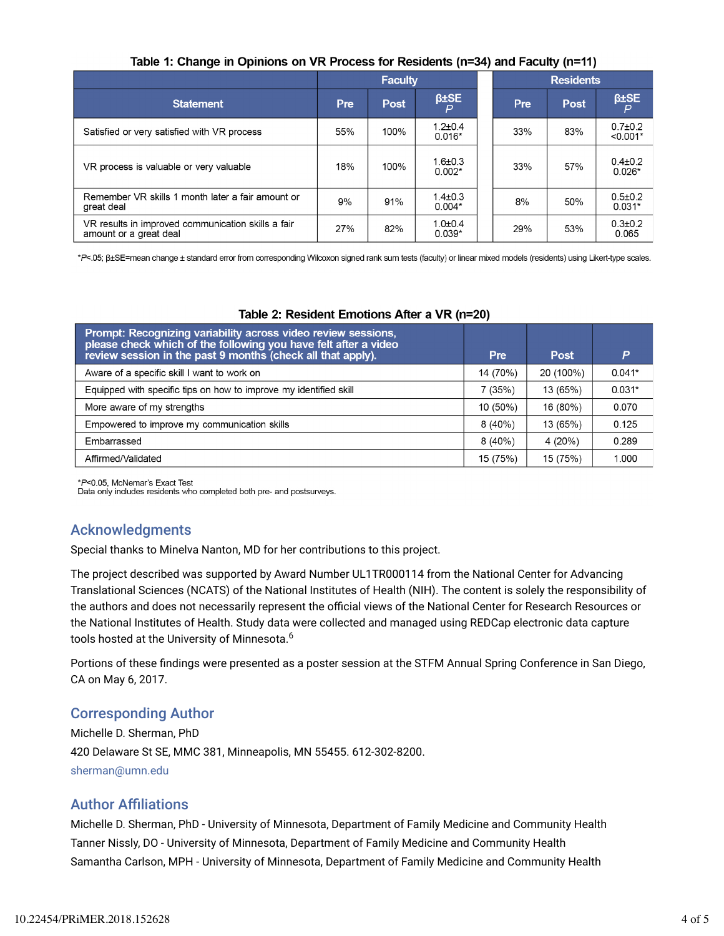|                                                                              | <b>Faculty</b> |             |                           | <b>Residents</b> |     |             |                           |  |  |  |
|------------------------------------------------------------------------------|----------------|-------------|---------------------------|------------------|-----|-------------|---------------------------|--|--|--|
| <b>Statement</b>                                                             | <b>Pre</b>     | <b>Post</b> | $\beta$ ±SE               |                  | Pre | <b>Post</b> | $\beta \pm SE$            |  |  |  |
| Satisfied or very satisfied with VR process                                  | 55%            | 100%        | $1.2 \pm 0.4$<br>$0.016*$ |                  | 33% | 83%         | $0.7 + 0.2$<br>$< 0.001*$ |  |  |  |
| VR process is valuable or very valuable                                      | 18%            | 100%        | $1.6 \pm 0.3$<br>$0.002*$ |                  | 33% | 57%         | $0.4 \pm 0.2$<br>$0.026*$ |  |  |  |
| Remember VR skills 1 month later a fair amount or<br>great deal              | 9%             | 91%         | $1.4 \pm 0.3$<br>$0.004*$ |                  | 8%  | 50%         | $0.5 + 0.2$<br>$0.031*$   |  |  |  |
| VR results in improved communication skills a fair<br>amount or a great deal | 27%            | 82%         | $1.0 + 0.4$<br>$0.039*$   |                  | 29% | 53%         | $0.3 + 0.2$<br>0.065      |  |  |  |

#### Table 1: Change in Opinions on VR Process for Residents (n=34) and Faculty (n=11)

\*P<.05; β+SE=mean change ± standard error from corresponding Wilcoxon signed rank sum tests (faculty) or linear mixed models (residents) using Likert-type scales.

#### Table 2: Resident Emotions After a VR (n=20)

| Prompt: Recognizing variability across video review sessions,<br>please check which of the following you have felt after a video<br>review session in the past 9 months (check all that apply). | Pre      | Post      | P        |
|-------------------------------------------------------------------------------------------------------------------------------------------------------------------------------------------------|----------|-----------|----------|
| Aware of a specific skill I want to work on                                                                                                                                                     | 14 (70%) | 20 (100%) | $0.041*$ |
| Equipped with specific tips on how to improve my identified skill                                                                                                                               | 7(35%)   | 13 (65%)  | $0.031*$ |
| More aware of my strengths                                                                                                                                                                      | 10 (50%) | 16 (80%)  | 0.070    |
| Empowered to improve my communication skills                                                                                                                                                    | 8(40%)   | 13 (65%)  | 0.125    |
| Embarrassed                                                                                                                                                                                     | 8(40%)   | 4(20%)    | 0.289    |
| Affirmed/Validated                                                                                                                                                                              | 15 (75%) | 15 (75%)  | 1.000    |

\*P<0.05, McNemar's Exact Test

Data only includes residents who completed both pre- and postsurveys.

### Acknowledgments

Special thanks to Minelva Nanton, MD for her contributions to this project.

The project described was supported by Award Number UL1TR000114 from the National Center for Advancing Translational Sciences (NCATS) of the National Institutes of Health (NIH). The content is solely the responsibility of the authors and does not necessarily represent the official views of the National Center for Research Resources or the National Institutes of Health. Study data were collected and managed using REDCap electronic data capture tools hosted at the University of Minnesota. 6

Portions of these findings were presented as a poster session at the STFM Annual Spring Conference in San Diego, CA on May 6, 2017.

### Corresponding Author

Michelle D. Sherman, PhD 420 Delaware St SE, MMC 381, Minneapolis, MN 55455. 612-302-8200. sherman@umn.edu

### Author AFliations

Michelle D. Sherman, PhD - University of Minnesota, Department of Family Medicine and Community Health Tanner Nissly, DO - University of Minnesota, Department of Family Medicine and Community Health Samantha Carlson, MPH - University of Minnesota, Department of Family Medicine and Community Health